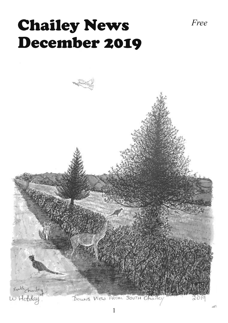# Chailey News *Free* December 2019

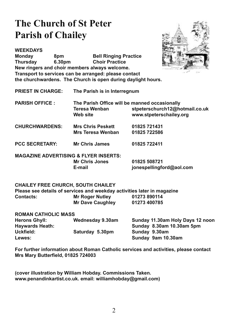### **The Church of St Peter Parish of Chailey**



**WEEKDAYS Monday** 8pm **Bell Ringing Practice** 6.30pm **Choir Practice Thursdav** New ringers and choir members always welcome. Transport to services can be arranged: please contact the churchwardens. The Church is open during daylight hours.

**PRIEST IN CHARGE:** The Parish is in Interregnum

- **PARISH OFFICE:** The Parish Office will be manned occasionally stpeterschurch12@hotmail.co.uk **Teresa Wenban Web site** www.stpeterschailey.org
- **Mrs Chris Peskett CHURCHWARDENS:** 01825 721431 Mrs Teresa Wenban 01825 722586
- **PCC SECRETARY: Mr Chris James** 01825 722411
- **MAGAZINE ADVERTISING & FLYER INSERTS: Mr Chris Jones**

F-mail

01825 508721 jonespellingford@aol.com

#### **CHAILEY FREE CHURCH, SOUTH CHAILEY**

Please see details of services and weekday activities later in magazine **Mr Roger Nutley** 01273 890114 Contacts: 01273 400785 **Mr Dave Caughley** 

| <b>ROMAN CATHOLIC MASS</b> |                         |                                  |
|----------------------------|-------------------------|----------------------------------|
| <b>Herons Ghyll:</b>       | <b>Wednesday 9.30am</b> | Sunday 11.30am Holy Days 12 noon |
| <b>Haywards Heath:</b>     |                         | Sunday 8.30am 10.30am 5pm        |
| Uckfield:                  | Saturday 5.30pm         | Sunday 9.30am                    |
| Lewes:                     |                         | Sunday 9am 10.30am               |

For further information about Roman Catholic services and activities, please contact Mrs Mary Butterfield, 01825 724003

(cover illustration by William Hobday. Commissions Taken. www.penandinkartist.co.uk. email: williamhobday@gmail.com)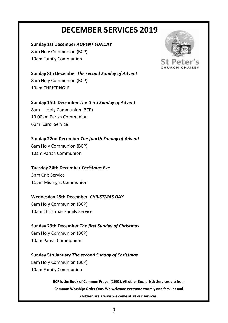#### **DECEMBER SERVICES 2019**

#### **Sunday 1st December** *ADVENT SUNDAY*

8am Holy Communion (BCP) 10am Family Communion

**Sunday 8th December** *The second Sunday of Advent*  8am Holy Communion (BCP) 10am CHRISTINGLE

**Sunday 15th December** *The third Sunday of Advent*  8am Holy Communion (BCP) 10.00am Parish Communion 6pm Carol Service

**Sunday 22nd December** *The fourth Sunday of Advent*  8am Holy Communion (BCP) 10am Parish Communion

#### **Tuesday 24th December** *Christmas Eve*

3pm Crib Service 11pm Midnight Communion

#### **Wednesday 25th December** *CHRISTMAS DAY*

8am Holy Communion (BCP) 10am Christmas Family Service

#### **Sunday 29th December** *The Įrst Sunday of Christmas*  8am Holy Communion (BCP)

10am Parish Communion

#### **Sunday 5th January** *The second Sunday of Christmas*

8am Holy Communion (BCP) 10am Family Communion

> **BCP** is the Book of Common Prayer (1662). All other Eucharistic Services are from **Common Worship: Order One***.* **We welcome everyone warmly and families and children are always welcome at all our services.**

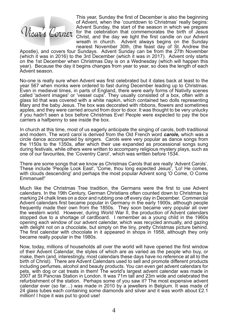

This year, Sunday the first of December is also the beginning of Advent, when the 'countdown to Christmas' really begins: Advent Sunday, the start of the season in which we prepare for the celebration that commemorates the birth of Jesus Christ, and the day we light the first candle on our Advent wreath in church. Advent always begins on the Sunday nearest November 30th, (the feast day of St. Andrew the

Apostle), and covers four Sundays. Advent Sunday can be from the 27th November (which it was in 2016) to the 3rd December (which it was in 2017). Advent only starts on the 1st December when Christmas Day is on a Wednesday (which will happen this year). Because the day it begins changes from year to year, so does the length of each Advent season.

No-one is really sure when Advent was first celebrated but it dates back at least to the year 567 when monks were ordered to fast during December leading up to Christmas. Even in medieval times, in parts of England, there were early forms of Nativity scenes called 'advent images' or 'vessel cups'. They usually consisted of a box, often with a glass lid that was covered with a white napkin, which contained two dolls representing Mary and the baby Jesus. The box was decorated with ribbons, flowers and sometimes apples, and they were carried around from door to door. It was thought to be very unlucky if you hadn't seen a box before Christmas Eve! People were expected to pay the box carriers a halfpenny to see inside the box.

In church at this time, most of us eagerly anticipate the singing of carols, both traditional and modern. The word carol is derived from the Old French word **carole**, which was a circle dance accompanied by singers. Carols were very popular as dance songs from the 1150s to the 1350s, after which their use expanded as processional songs sung during festivals, while others were written to accompany religious mystery plays, such as one of our favourites, the 'Coventry Carol', which was written before 1534.

There are some songs that we know as Christmas Carols that are really 'Advent Carols'. These include 'People Look East', 'Come, thou long expected Jesus', 'Lo! He comes, with clouds descending' and perhaps the most popular Advent song 'O Come, O Come Emmanuel!'

Much like the Christmas Tree tradition, the Germans were the first to use Advent calendars. In the 19th Century, German Christians often counted down to Christmas by marking 24 chalk lines on a door and rubbing one off every day in December. Commercial Advent calendars first became popular in Germany in the early 1900s, although people frequently made their own from the 1850s. They soon became very popular all over the western world. However, during World War II, the production of Advent calendars stopped due to a shortage of cardboard. I remember as a young child in the 1960s opening each window of our advent calendar, which was recycled annually, and gazing with delight not on a chocolate, but simply on the tiny, pretty Christmas picture behind. The first calendar with chocolate in it appeared in shops in 1958, although they only became really popular in the 1980s.

Now, today, millions of households all over the world will have opened the first window of their Advent Calendar, the styles of which are as varied as the people who buy, or make, them (and, interestingly, most calendars these days have no reference at all to the birth of Christ). There are Advent Calendars used to sell and promote different products including perfumes, alcohol and beauty products. You can even get advent calendars for pets, with dog or cat treats in them! The world's largest advent calendar was made in 2007 at St Pancras Station in London. It was 71m tall and 23m wide and celebrated the refurbishment of the station. Perhaps some of you saw it? The most expensive advent calendar ever (so far...) was made in 2010 by a jewellers in Belgium. It was made of 24 glass tubes each containing some diamonds and silver and it was worth about £2.1 million! I hope it was put to good use!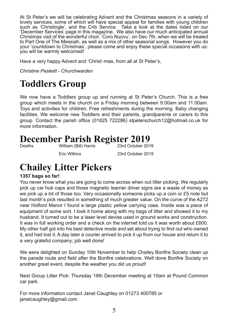At St Peter's we will be celebrating Advent and the Christmas seasons in a variety of lovely services, some of which will have special appeal for families with young children such as 'Christingle', and the Crib Service. Take a look at the dates listed on our 'December Services' page in this magazine. We also have our much anticipated annual Christmas visit of the wonderful choir, 'Coro Nuovu', on Dec 7th, when we will be treated to Part One of The Messiah, as well as a mix of other seasonal songs. However you do your 'countdown to Christmas', please come and enjoy these special occasions with us: you will be warmly welcomed!

Have a very happy Advent and 'Christ'-mas, from all at St Peter's,

**Christine Peskett - Churchwarden** 

### **Toddlers Group**

We now have a Toddlers group up and running at St Peter's Church. This is a free group which meets in the church on a Friday morning between 9.00am and 11.00am. Toys and activities for children. Free refreshments during the morning. Baby changing facilities. We welcome new Toddlers and their parents, grandparents or carers to this group. Contact the parish office (01825 722286) stpeterschurch12@hotmail.co.uk for more information.

#### **December Parish Register 2019** William (Bill) Harris 23rd October 2019

**Deaths** 

**Fric Wilkins** 

23rd October 2019

### **Chailey Litter Pickers**

#### 1357 bags so far!

You never know what you are going to come across when out litter picking. We regularly pick up car hub caps and those magnetic learner driver signs are a waste of money as we pick up a lot of those too. Very occasionally someone picks up a coin or £5 note but last month's pick resulted in something of much greater value. On the curve of the A272 near Holford Manor I found a large plastic yellow carrying case. Inside was a piece of equipment of some sort. I took it home along with my bags of litter and showed it to my husband. It turned out to be a laser level devise used in ground works and construction. It was in full working order and a check on the internet told us it was worth about £600. My other half got into his best detective mode and set about trying to find out who owned it, and had lost it. A day later a courier arrived to pick it up from our house and return it to a very grateful company; job well done!

We were delighted on Sunday 10th November to help Chailey Bonfire Society clean up the parade route and field after the Bonfire celebrations. Well done Bonfire Society on another great event, despite the weather you did us proud!

Next Group Litter Pick: Thursday 19th December meeting at 10am at Pound Common car park.

For more information contact Janet Caughley on 01273 400785 or janetcaughley@gmail.com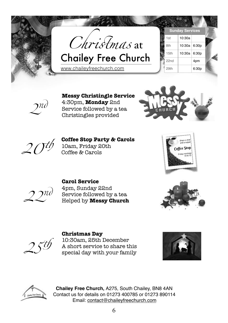



#### **Messy Christingle Service**

4:30pm, **Monday** 2nd Service followed by a tea Christingles provided





#### **Coffee Stop Party & Carols**

10am, Friday 20th<br>Coffee & Carols





#### **Carol Service**  4pm, Sunday 22nd Service followed by a tea 2 Helped by **Messy Church**





#### **Christmas Day**

10:30am, 25th December A short service to share this<br>special day with your family





**Chailey Free Church,** A275, South Chailey, BN8 4AN Contact us for details on 01273 400785 or 01273 890114 Email: contact@chaileyfreechurch.com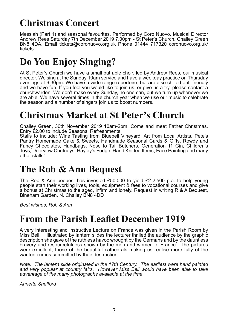# **Christmas Concert**

Messiah (Part 1) and seasonal favourites. Performed by Coro Nuovo. Musical Director Andrew Rees Saturday 7th December 2019 7.00pm - St Peter's Church, Chailey Green BN8 4DA. Email tickets@coronuovo.org.uk Phone 01444 717320 coronuovo.org.uk/ tickets

### Do You Enjoy Singing?

At St Peter's Church we have a small but able choir, led by Andrew Rees, our musical director. We sing at the Sunday 10am service and have a weekday practice on Thursday evenings at 6.30pm. We have a wide range repertoire, but are also chilled out, friendly and we have fun. If you feel you would like to join us, or give us a try, please contact a churchwarden. We don't make every Sunday, no one can, but we turn up whenever we are able. We have several times in the church year when we use our music to celebrate the season and a number of singers join us to boost numbers.

### **Christmas Market at St Peter's Church**

Chailey Green, 30th November 2019 10am-2pm. Come and meet Father Christmas. Entry £2.00 to include Seasonal Refreshments.

Stalls to include: Wine Tasting from Bluebell Vineyard, Art from Local Artists, Pete's Pantry Homemade Cake & Sweets, Handmade Seasonal Cards & Gifts, Rowdy and Fancy Chocolates, Handbags, Nose to Tail Butchers, Generation 11 Gin, Children's Toys, Deerview Chutneys, Hayley's Fudge, Hand Knitted Items, Face Painting and many other stalls!

### The Rob & Ann Bequest

The Rob & Ann bequest has invested £50,000 to yield £2-2,500 p.a. to help young people start their working lives, tools, equipment & fees to vocational courses and give a bonus at Christmas to the aged, infirm and lonely. Request in writing R & A Bequest, Bineham Garden, N. Chailey BN8 4DD

Best wishes, Rob & Ann

### **From the Parish Leaflet December 1919**

A very interesting and instructive Lecture on France was given in the Parish Room by Illustrated by lantern slides the lecturer thrilled the audience by the graphic Miss Bell. description she gave of the ruthless havoc wrought by the Germans and by the dauntless bravery and resourcefulness shown by the men and women of France. The pictures were excellent, those of the beautiful cathedrals making us realise more fully of the wanton crimes committed by their destruction.

Note: The lantern slide originated in the 17th Century. The earliest were hand painted and very popular at country fairs. However Miss Bell would have been able to take advantage of the many photographs available at the time.

**Annette Shelford**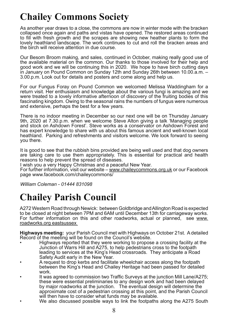# **Chailey Commons Society**

As another year draws to a close, the commons are now in winter mode with the bracken collapsed once again and paths and vistas have opened. The restored areas continued to fill with fresh growth and the scrapes are showing new heather plants to form the lovely heathland landscape. The work continues to cut and roll the bracken areas and the birch will receive attention in due course.

Our Besom Broom making, and sales, continued in October, making really good use of the available material on the common. Our thanks to those involved for their help and good work and we will be continuing this in 2020. We hope to have birch cutting days in January on Pound Common on Sunday 12th and Sunday 26th between 10.00.a.m. -3.00 p.m. Look out for details and posters and come along and help us.

For our Fungus Foray on Pound Common we welcomed Melissa Waddingham for a return visit. Her enthusiasm and knowledge about the various fungi is amazing and we were treated to a lovely informative afternoon of discovery of the fruiting bodies of this fascinating kingdom. Owing to the seasonal rains the numbers of fungus were numerous and extensive, perhaps the best for a few years.

There is no indoor meeting in December so our next one will be on Thursday January 9th, 2020 at 7.30 p.m. when we welcome Steve Alton giving a talk 'Managing people and stock on Ashdown Forest'. Steve works as a conservator on Ashdown Forest and has expert knowledge to share with us about this famous ancient and well-known local heathland. Parking and refreshments and visitors welcome. We look forward to seeing you there.

It is good to see that the rubbish bins provided are being well used and that dog owners are taking care to use them appropriately. This is essential for practical and health reasons to help prevent the spread of diseases.

I wish you a very Happy Christmas and a peaceful New Year.

For further information, visit our website – www.chaileycommons.org.uk or our Facebook page www.facebook.com/chaileycommons/

William Coleman - 01444 831098

### **Chailey Parish Council**

A272 Western Road through Newick: between Goldbridge and Allington Road is expected to be closed at night between 7PM and 6AM until December 13th for carriageway works. For further information on this and other roadworks, actual or planned, see www. roadworks.org eastsussex

Highways meeting: your Parish Council met with Highways on October 21st. A detailed Record of the meeting will be found on the Council's website.

- Highways reported that they were working to propose a crossing facility at the Junction of Warrs Hill and A275, to help pedestrians cross to the footpath leading to services at the King's Head crossroads. They anticipate a Road Safety Audit early in the New Year.
- A request to drop kerbs and facilitate wheelchair access along the footpath between the King's Head and Chailey Heritage had been passed for detailed work.
- It was agreed to commission two Traffic Surveys at the junction Mill Lane/A275; these were essential preliminaries to any design work and had been delayed by major roadworks at the junction. The eventual design will determine the approximate cost of a pedestrian crossing at this point, and the Parish Council will then have to consider what funds may be available.
- We also discussed possible ways to link the footpaths along the A275 South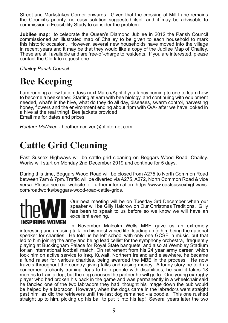Street and Markstakes Corner onwards. Given that the crossing at Mill Lane remains the Council's priority, no easy solution suggested itself and it may be advisable to commission a Feasibility Study to consider the problem.

Jubilee map: to celebrate the Queen's Diamond Jubilee in 2012 the Parish Council commissioned an illustrated map of Chailey to be given to each household to mark this historic occasion. However, several new households have moved into the village in recent vears and it may be that they would like a copy of the Jubilee Map of Chailey. These are still available and are free-of-charge to residents. If you are interested, please contact the Clerk to request one.

**Chailey Parish Council** 

### **Bee Keeping**

I am running a few tuition days next March/April if you fancy coming to one to learn how to become a beekeeper. Starting at 9am with bee biology, and continuing with equipment needed, what's in the hive, what do they do all day, diseases, swarm control, harvesting honey, flowers and the environment ending about 4pm with Q/A- after we have looked in a hive at the real thing! Bee jackets provided Email me for dates and prices.

Heather McNiven - heathermcniven@btinternet.com

### **Cattle Grid Cleaning**

East Sussex Highways will be cattle grid cleaning on Beggars Wood Road, Chailey. Works will start on Monday 2nd December 2019 and continue for 5 days.

During this time, Beggars Wood Road will be closed from A275 to North Common Road between 7am & 7pm. Traffic will be diverted via A275, A272, North Common Road & vice versa. Please see our website for further information: https://www.eastsussexhighways. com/roadworks/beggars-wood-road-cattle-grids.



Our next meeting will be on Tuesday 3rd December when our speaker will be Gilly Halcrow on Our Christmas Traditions. Gilly has been to speak to us before so we know we will have an excellent evening.

In November Malcolm Wells MBE gave us an extremely interesting and amusing talk on his most varied life, leading up to him being the national speaker for charities. He told us he left school with only one GCSE in music, but that led to him joining the army and being lead cellist for the symphony orchestra, frequently playing at Buckingham Palace for Royal State banquets, and also at Wembley Stadium for an international football match. On retirement from his 24 year army career, which took him on active service to Iraq, Kuwait, Northern Ireland and elsewhere, he became a fund raiser for various charities, being awarded the MBE in the process. He now travels throughout the country giving talks and raising money. A funny story he told us concerned a charity training dogs to help people with disabilities, he said it takes 18 months to train a dog, but the dog chooses the partner he will go to. One young ex-rugby player who had broken his back in the game and was permanently in a wheelchair said he fancied one of the two labradors they had, thought his image down the pub would be helped by a labrador. However, when the dogs came in the labradors went straight past him, as did the retrievers until the last dog remained - a poodle. This one rushed straight up to him, picking up his ball to put it into his lap! Several years later the two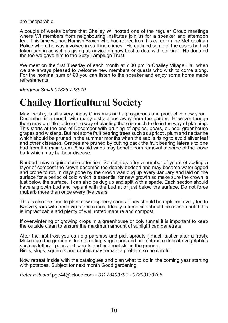are inseparable.

A couple of weeks before that Chailey WI hosted one of the regular Group meetings where WI members from neighbouring Institutes join us for a speaker and afternoon tea. This time we had Hamish Brown who had retired from his career in the Metropolitan Police where he was involved in stalking crimes. He outlined some of the cases he had taken part in as well as giving us advice on how best to deal with stalking. He donated the fee we gave him to the Suzy Lamplugh Trust.

We meet on the first Tuesday of each month at 7.30 pm in Chailey Village Hall when we are always pleased to welcome new members or guests who wish to come along. For the nominal sum of £3 you can listen to the speaker and enjoy some home made refreshments.

**Margaret Smith 01825 723519** 

### **Chailey Horticultural Society**

May I wish you all a very happy Christmas and a prosperous and productive new year. December is a month with many distractions away from the garden. However though there may be little to do in the way of planting there is much to do in the way of planning. This starts at the end of December with pruning of apples, pears, quince, greenhouse grapes and wisteria. But not stone fruit bearing trees such as apricot, plum and nectarine which should be pruned in the summer months when the sap is rising to avoid silver leaf and other diseases. Grapes are pruned by cutting back the fruit bearing laterals to one bud from the main stem. Also old vines may benefit from removal of some of the loose bark which may harbour disease.

Rhubarb may require some attention. Sometimes after a number of years of adding a layer of compost the crown becomes too deeply bedded and may become waterlogged and prone to rot. In days gone by the crown was dug up every January and laid on the surface for a period of cold which is essential for new growth so make sure the crown is just below the surface. It can also be dug up and split with a spade. Each section should have a growth bud and replant with the bud at or just below the surface. Do not force rhubarb more than once every five years.

This is also the time to plant new raspberry canes. They should be replaced every ten to twelve years with fresh virus free canes. Ideally a fresh site should be chosen but if this is impracticable add plenty of well rotted manure and compost.

If overwintering or growing crops in a greenhouse or poly tunnel it is important to keep the outside clean to ensure the maximum amount of sunlight can penetrate.

After the first frost you can dig parsnips and pick sprouts (much tastier after a frost). Make sure the ground is free of rotting vegetation and protect more delicate vegetables such as lettuce, peas and carrots and beetroot still in the ground. Birds, slugs, squirrels and rabbits may remain a problem so be careful.

Now retreat inside with the catalogues and plan what to do in the coming year starting with potatoes. Subject for next month Good gardening

Peter Estcourt pge44@icloud.com - 01273400791 - 07803179708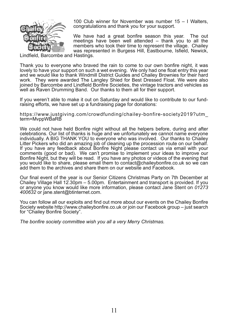

100 Club winner for November was number  $15 - 1$  Walters. congratulations and thank you for your support.

We have had a great bonfire season this year. The out meetings have been well attended – thank you to all the members who took their time to represent the village. Chailey was represented in Burgess Hill, Eastbourne, Isfield, Newick,

Lindfield, Barcombe and Hastings.

Thank you to everyone who braved the rain to come to our own bonfire night, it was lovely to have your support on such a wet evening. We only had one float entry this year and we would like to thank Windmill District Guides and Chailey Brownies for their hard work. They were awarded The Langley Shied for Best Dressed Float. We were also joined by Barcombe and Lindfield Bonfire Societies, the vintage tractors and vehicles as well as Raven Drumming Band. Our thanks to them all for their support.

If you weren't able to make it out on Saturday and would like to contribute to our fundraising efforts, we have set up a fundraising page for donations:

https://www.justgiving.com/crowdfunding/chailey-bonfire-society2019?utm term=MvppWBaRB

We could not have held Bonfire night without all the helpers before, during and after celebrations. Our list of thanks is huge and we unfortunately we cannot name everyone individually. A BIG THANK YOU to everyone who was involved. Our thanks to Chailey Litter Pickers who did an amazing job of cleaning up the procession route on our behalf. If you have any feedback about Bonfire Night please contact us via email with your comments (good or bad). We can't promise to implement your ideas to improve our Bonfire Night, but they will be read. If you have any photos or videos of the evening that you would like to share, please email them to contact@chaileybonfire.co.uk so we can add them to the archives and share them on our website and Facebook.

Our final event of the year is our Senior Citizens Christmas Party on 7th December at Chailey Village Hall 12.30pm - 5.00pm. Entertainment and transport is provided. If you or anyone you know would like more information, please contact Jane Stent on 01273 400632 or jane.stent@btinternet.com.

You can follow all our exploits and find out more about our events on the Chailey Bonfire Society website http://www.chaileybonfire.co.uk or join our Facebook group – just search for "Chailey Bonfire Society".

The bonfire society committee wish you all a very Merry Christmas.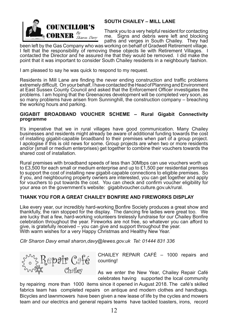

#### **SOUTH CHAILEY - MILL LANE**

Thank you to a very helpful resident for contacting me. Signs and debris were left and blocking paths and verges in South Chailey. They had

been left by the Gas Company who was working on behalf of Gradwell Retirement village. I felt that the responsibility of removing these objects lie with Retirement Villages. I contacted the Director and he assured me that they would be removed. I did make the point that it was important to consider South Chailey residents in a neighbourly fashion.

I am pleased to say he was quick to respond to my request.

Residents in Mill Lane are finding the never ending construction and traffic problems extremely difficult. On your behalf, I have contacted the Head of Planning and Environment at East Sussex County Council and asked that the Enforcement Officer investigates the problems. I am hoping that the Greenacres development will be completed very soon, as so many problems have arisen from Sunninghill, the construction company – breaching the working hours and parking.

#### GIGABIT BROADBAND VOUCHER SCHEME - Rural Gigabit Connectivity programme

It's imperative that we in rural villages have good communication. Many Chailey businesses and residents might already be aware of additional funding towards the cost of installing gigabit-capable broadband to their premises when part of a group project. I apologise if this is old news for some. Group projects are when two or more residents and/or (small or medium enterprises) get together to combine their vouchers towards the shared cost of installation.

Rural premises with broadband speeds of less than 30Mbps can use vouchers worth up to £3,500 for each small or medium enterprise and up to £1,500 per residential premises to support the cost of installing new gigabit-capable connections to eligible premises. So if you, and neighbouring property owners are interested, you can get together and apply for vouchers to put towards the cost. You can check and confirm voucher eligibility for your area on the government's website: gigabitvoucher.culture.gov.uk/rural.

#### THANK YOU FOR A GREAT CHAILEY BONFIRE AND FIREWORKS DISPLAY

Like every year, our incredibly hard-working Bonfire Society produces a great show and thankfully, the rain stopped for the display. The dancing fire ladies were great too. We are lucky that a few, hard-working volunteers tirelessly fundraise for our Chailey Bonfire celebration throughout the vear. Fireworks are not free, so whatever you can afford to give, is gratefully received  $-\overline{}$  you can give and support throughout the year. With warm wishes for a very Happy Christmas and Healthy New Year.

Cllr Sharon Davy email sharon.davy@lewes.gov.uk Tel: 01444 831 336



CHAILEY REPAIR CAFÉ - 1000 repairs and countina!

As we enter the New Year, Chailey Repair Café celebrates having supported the local community

by repairing more than 1000 items since it opened in August 2018. The café's skilled fabrics team has completed repairs on antique and modern clothes and handbags. Bicycles and lawnmowers have been given a new lease of life by the cycles and mowers team and our electrics and general repairs teams have tackled toasters, irons, record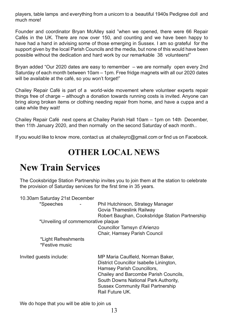players, table lamps and everything from a unicorn to a beautiful 1940s Pedigree doll and much more!

Founder and coordinator Bryan McAlley said "when we opened, there were 66 Repair Cafés in the UK. There are now over 150, and counting and we have been happy to have had a hand in advising some of those emerging in Sussex. I am so grateful for the support given by the local Parish Councils and the media, but none of this would have been possible without the dedication and hard work by our remarkable 38 volunteers!"

Bryan added "Our 2020 dates are easy to remember  $-$  we are normally open every 2nd Saturday of each month between 10am - 1pm. Free fridge magnets with all our 2020 dates will be available at the café, so you won't forget!"

Chailey Repair Café is part of a world-wide movement where volunteer experts repair things free of charge – although a donation towards running costs is invited. Anyone can bring along broken items or clothing needing repair from home, and have a cuppa and a cake while they wait!

Chailey Repair Café next opens at Chailey Parish Hall 10am - 1pm on 14th December, then 11th January 2020, and then normally on the second Saturday of each month...

If you would like to know more, contact us at chaileyrc@gmail.com or find us on Facebook.

#### **OTHER LOCAL NEWS**

### **New Train Services**

The Cooksbridge Station Partnership invites you to join them at the station to celebrate the provision of Saturday services for the first time in 35 years.

| 10.30am Saturday 21st December<br>*Speeches | Phil Hutchinson, Strategy Manager<br>Govia Thameslink Railway<br>Robert Baughan, Cooksbridge Station Partnership                                                                                                                                           |
|---------------------------------------------|------------------------------------------------------------------------------------------------------------------------------------------------------------------------------------------------------------------------------------------------------------|
| *Unveiling of commemorative plaque          | Councillor Tamsyn d'Arienzo<br><b>Chair, Hamsey Parish Council</b>                                                                                                                                                                                         |
| *Light Refreshments<br>*Festive music       |                                                                                                                                                                                                                                                            |
| Invited guests include:                     | MP Maria Caulfield, Norman Baker,<br>District Councillor Isabelle Linington,<br>Hamsey Parish Councillors,<br>Chailey and Barcombe Parish Councils,<br>South Downs National Park Authority,<br><b>Sussex Community Rail Partnership</b><br>Rail Future UK. |

We do hope that you will be able to join us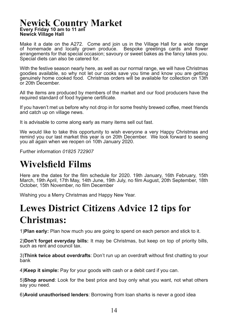#### **Newick Country Market** Every Friday 10 am to 11 am **Newick Village Hall**

Make it a date on the A272. Come and join us in the Village Hall for a wide range of homemade and locally grown produce. Bespoke greetings cards and flower arrangements for that special occasion; savoury or sweet bakes as the fancy takes you. Special diets can also be catered for.

With the festive season nearly here, as well as our normal range, we will have Christmas goodies available, so why not let our cooks save you time and know you are getting genuinely home cooked food. Christmas orders will be available for collection on 13th or 20th December.

All the items are produced by members of the market and our food producers have the required standard of food hygiene certificate.

If you haven't met us before why not drop in for some freshly brewed coffee, meet friends and catch up on village news.

It is advisable to come along early as many items sell out fast.

We would like to take this opportunity to wish everyone a very Happy Christmas and remind vou our last market this vear is on 20th December. We look forward to seeing vou all again when we reopen on 10th January 2020.

Further information 01825 722907

### **Wivelsfield Films**

Here are the dates for the film schedule for 2020. 19th January, 16th February, 15th March, 19th April, 17th May, 14th June, 19th July, no film August, 20th September, 18th October, 15th November, no film December

Wishing you a Merry Christmas and Happy New Year.

### **Lewes District Citizens Advice 12 tips for Christmas:**

1)**Plan early:** Plan how much you are going to spend on each person and stick to it.

2) Don't forget everyday bills: It may be Christmas, but keep on top of priority bills, such as rent and council tax.

3) Think twice about overdrafts: Don't run up an overdraft without first chatting to your bank

4) Keep it simple: Pay for your goods with cash or a debit card if you can.

5) Shop around: Look for the best price and buy only what you want, not what others say you need.

6) Avoid unauthorised lenders: Borrowing from loan sharks is never a good idea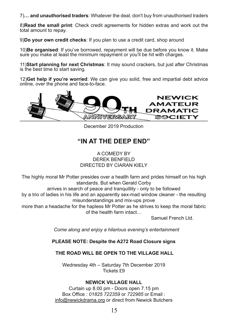7)... and unauthorised traders: Whatever the deal, don't buy from unauthorised traders

8)Read the small print: Check credit agreements for hidden extras and work out the total amount to repay.

9)**Do your own credit checks**: If you plan to use a credit card, shop around

10)**Be organised**: If you've borrowed, repayment will be due before you know it. Make sure you make at least the minimum repayment or you'll be hit with charges.

**11) Start planning for next Christmas:** It may sound crackers, but just after Christmas is the best time to start saving.

12) Get help if you're worried: We can give you solid, free and impartial debt advice online, over the phone and face-to-face.



December 2019 Production

#### **"IN AT THE DEEP END"**

A COMEDY BY DEREK BENEIELD DIRECTED BY CIARAN KIELY

The highly moral Mr Potter presides over a health farm and prides himself on his high standards. But when Gerald Corby

arrives in search of peace and tranquillity - only to be followed

by a trio of ladies in his life and an apparently sex-mad window cleaner - the resulting misunderstandings and mix-ups prove

more than a headache for the hapless Mr Potter as he strives to keep the moral fabric of the health farm intact...

Samuel French Ltd.

 *Come along and enjoy a hilarious evening's entertainment*

#### **PLEASE NOTE: Despite the A272 Road Closure signs**

**THE ROAD WILL BE OPEN TO THE VILLAGE HALL** 

Wednesday 4th  $-$  Saturday 7th December 2019 Tickets £9

#### **NEWICK VILLAGE HALL**

Curtain up 8.00 pm - Doors open 7.15 pm Box Office: 01825 722359 or 722985 or Email: info@newickdrama.org or direct from Newick Butchers